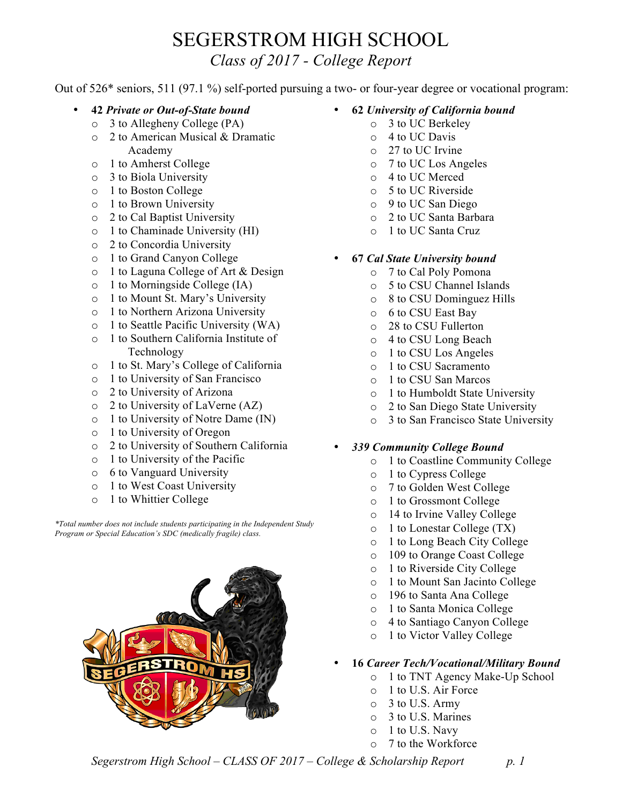## SEGERSTROM HIGH SCHOOL

*Class of 2017 - College Report*

Out of 526\* seniors, 511 (97.1 %) self-ported pursuing a two- or four-year degree or vocational program:

- **42** *Private or Out-of-State bound*
	- o 3 to Allegheny College (PA)
	- o 2 to American Musical & Dramatic Academy
	- o 1 to Amherst College
	- o 3 to Biola University
	- o 1 to Boston College
	- o 1 to Brown University
	- o 2 to Cal Baptist University
	- o 1 to Chaminade University (HI)
	- o 2 to Concordia University
	- o 1 to Grand Canyon College
	- o 1 to Laguna College of Art & Design
	- o 1 to Morningside College (IA)
	- o 1 to Mount St. Mary's University
	- o 1 to Northern Arizona University
	- o 1 to Seattle Pacific University (WA)
	- o 1 to Southern California Institute of Technology
	- o 1 to St. Mary's College of California
	- o 1 to University of San Francisco
	- o 2 to University of Arizona
	- o 2 to University of LaVerne (AZ)
	- o 1 to University of Notre Dame (IN)
	- o 1 to University of Oregon
	- o 2 to University of Southern California
	- o 1 to University of the Pacific
	- o 6 to Vanguard University
	- o 1 to West Coast University
	- o 1 to Whittier College

*\*Total number does not include students participating in the Independent Study Program or Special Education's SDC (medically fragile) class.*



- **62** *University of California bound*
	- o 3 to UC Berkeley
	- o 4 to UC Davis
	- o 27 to UC Irvine
	- o 7 to UC Los Angeles
	- o 4 to UC Merced
	- o 5 to UC Riverside
	- o 9 to UC San Diego
	- o 2 to UC Santa Barbara
	- o 1 to UC Santa Cruz
- **67** *Cal State University bound*
	- o 7 to Cal Poly Pomona
	- o 5 to CSU Channel Islands
	- o 8 to CSU Dominguez Hills
	- o 6 to CSU East Bay
	- o 28 to CSU Fullerton
	- o 4 to CSU Long Beach
	- o 1 to CSU Los Angeles
	- o 1 to CSU Sacramento
	- o 1 to CSU San Marcos
	- o 1 to Humboldt State University
	- o 2 to San Diego State University
	- o 3 to San Francisco State University

## • *339 Community College Bound*

- o 1 to Coastline Community College
- o 1 to Cypress College
- o 7 to Golden West College
- o 1 to Grossmont College
- o 14 to Irvine Valley College
- o 1 to Lonestar College (TX)
- o 1 to Long Beach City College
- o 109 to Orange Coast College
- o 1 to Riverside City College
- o 1 to Mount San Jacinto College
- o 196 to Santa Ana College
- o 1 to Santa Monica College
- o 4 to Santiago Canyon College
- o 1 to Victor Valley College
- **16** *Career Tech/Vocational/Military Bound*
	- o 1 to TNT Agency Make-Up School
	- o 1 to U.S. Air Force
	- o 3 to U.S. Army
	- o 3 to U.S. Marines
	- $\circ$  1 to U.S. Navy
	- o 7 to the Workforce

*Segerstrom High School – CLASS OF 2017 – College & Scholarship Report p. 1*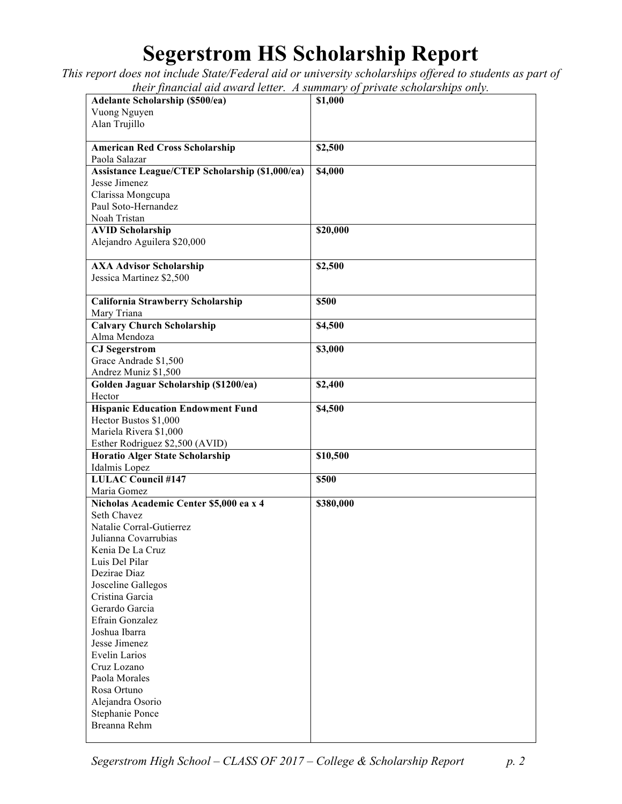## **Segerstrom HS Scholarship Report**

*This report does not include State/Federal aid or university scholarships offered to students as part of their financial aid award letter. A summary of private scholarships only.*

| <b>Adelante Scholarship (\$500/ea)</b>          | \$1,000   |
|-------------------------------------------------|-----------|
| Vuong Nguyen                                    |           |
|                                                 |           |
| Alan Trujillo                                   |           |
|                                                 |           |
| <b>American Red Cross Scholarship</b>           | \$2,500   |
| Paola Salazar                                   |           |
| Assistance League/CTEP Scholarship (\$1,000/ea) | \$4,000   |
| Jesse Jimenez                                   |           |
| Clarissa Mongcupa                               |           |
| Paul Soto-Hernandez                             |           |
| Noah Tristan                                    |           |
| <b>AVID Scholarship</b>                         | \$20,000  |
| Alejandro Aguilera \$20,000                     |           |
|                                                 |           |
| <b>AXA Advisor Scholarship</b>                  | \$2,500   |
| Jessica Martinez \$2,500                        |           |
|                                                 |           |
|                                                 |           |
| California Strawberry Scholarship               | \$500     |
| Mary Triana                                     |           |
| <b>Calvary Church Scholarship</b>               | \$4,500   |
| Alma Mendoza                                    |           |
| <b>CJ</b> Segerstrom                            | \$3,000   |
| Grace Andrade \$1,500                           |           |
| Andrez Muniz \$1,500                            |           |
| Golden Jaguar Scholarship (\$1200/ea)           | \$2,400   |
| Hector                                          |           |
| <b>Hispanic Education Endowment Fund</b>        | \$4,500   |
| Hector Bustos \$1,000                           |           |
| Mariela Rivera \$1,000                          |           |
| Esther Rodriguez \$2,500 (AVID)                 |           |
| <b>Horatio Alger State Scholarship</b>          | \$10,500  |
| Idalmis Lopez                                   |           |
| <b>LULAC Council #147</b>                       | \$500     |
| Maria Gomez                                     |           |
| Nicholas Academic Center \$5,000 ea x 4         | \$380,000 |
| Seth Chavez                                     |           |
| Natalie Corral-Gutierrez                        |           |
| Julianna Covarrubias                            |           |
| Kenia De La Cruz                                |           |
| Luis Del Pilar                                  |           |
| Dezirae Diaz                                    |           |
|                                                 |           |
| Josceline Gallegos                              |           |
| Cristina Garcia                                 |           |
| Gerardo Garcia                                  |           |
| Efrain Gonzalez                                 |           |
| Joshua Ibarra                                   |           |
| Jesse Jimenez                                   |           |
| Evelin Larios                                   |           |
| Cruz Lozano                                     |           |
| Paola Morales                                   |           |
| Rosa Ortuno                                     |           |
| Alejandra Osorio                                |           |
| Stephanie Ponce                                 |           |
| Breanna Rehm                                    |           |
|                                                 |           |

*Segerstrom High School – CLASS OF 2017 – College & Scholarship Report p. 2*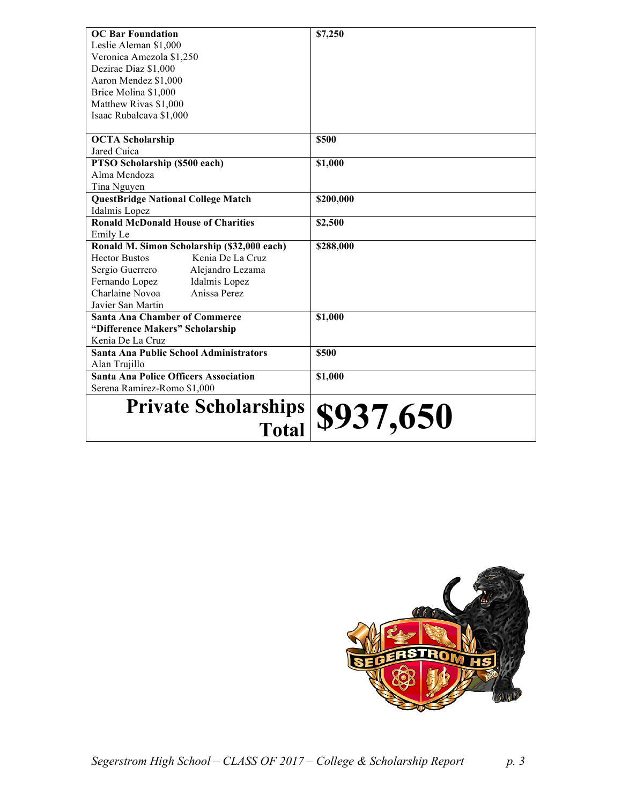| <b>OC Bar Foundation</b>                                           | \$7,250   |
|--------------------------------------------------------------------|-----------|
| Leslie Aleman \$1,000                                              |           |
| Veronica Amezola \$1,250                                           |           |
| Dezirae Diaz \$1,000                                               |           |
| Aaron Mendez \$1,000                                               |           |
| Brice Molina \$1,000                                               |           |
| Matthew Rivas \$1,000                                              |           |
| Isaac Rubalcava \$1,000                                            |           |
|                                                                    |           |
| <b>OCTA Scholarship</b>                                            | \$500     |
| Jared Cuica                                                        |           |
| PTSO Scholarship (\$500 each)                                      | \$1,000   |
| Alma Mendoza                                                       |           |
| Tina Nguyen                                                        |           |
| <b>QuestBridge National College Match</b>                          | \$200,000 |
| Idalmis Lopez                                                      |           |
| <b>Ronald McDonald House of Charities</b>                          | \$2,500   |
| Emily Le                                                           |           |
| Ronald M. Simon Scholarship (\$32,000 each)                        | \$288,000 |
| <b>Hector Bustos</b><br>Kenia De La Cruz                           |           |
| Sergio Guerrero<br>Alejandro Lezama                                |           |
| Fernando Lopez<br>Idalmis Lopez<br>Charlaine Novoa<br>Anissa Perez |           |
|                                                                    |           |
| Javier San Martin                                                  |           |
| <b>Santa Ana Chamber of Commerce</b>                               | \$1,000   |
| "Difference Makers" Scholarship                                    |           |
| Kenia De La Cruz                                                   |           |
| <b>Santa Ana Public School Administrators</b>                      | \$500     |
| Alan Trujillo                                                      |           |
| <b>Santa Ana Police Officers Association</b>                       | \$1,000   |
| Serena Ramirez-Romo \$1,000                                        |           |
| <b>Private Scholarships</b>                                        |           |
| <b>Total</b>                                                       | \$937,650 |